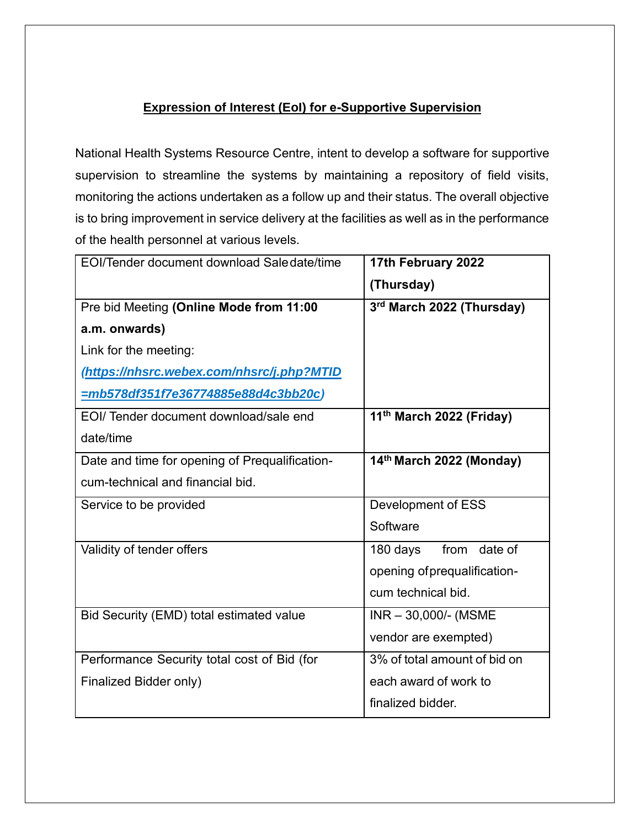# **Expression of Interest (EoI) for e-Supportive Supervision**

National Health Systems Resource Centre, intent to develop a software for supportive supervision to streamline the systems by maintaining a repository of field visits, monitoring the actions undertaken as a follow up and their status. The overall objective is to bring improvement in service delivery at the facilities as well as in the performance of the health personnel at various levels.

| EOI/Tender document download Saledate/time     | 17th February 2022           |
|------------------------------------------------|------------------------------|
|                                                | (Thursday)                   |
| Pre bid Meeting (Online Mode from 11:00        | 3rd March 2022 (Thursday)    |
| a.m. onwards)                                  |                              |
| Link for the meeting:                          |                              |
| (https://nhsrc.webex.com/nhsrc/j.php?MTID      |                              |
| <u>=mb578df351f7e36774885e88d4c3bb20c)</u>     |                              |
| EOI/ Tender document download/sale end         | 11th March 2022 (Friday)     |
| date/time                                      |                              |
| Date and time for opening of Prequalification- | 14th March 2022 (Monday)     |
| cum-technical and financial bid.               |                              |
| Service to be provided                         | Development of ESS           |
|                                                | Software                     |
| Validity of tender offers                      | from date of<br>180 days     |
|                                                | opening of prequalification- |
|                                                | cum technical bid.           |
| Bid Security (EMD) total estimated value       | $INR - 30,000/$ - (MSME      |
|                                                | vendor are exempted)         |
| Performance Security total cost of Bid (for    | 3% of total amount of bid on |
| Finalized Bidder only)                         | each award of work to        |
|                                                | finalized bidder.            |
|                                                |                              |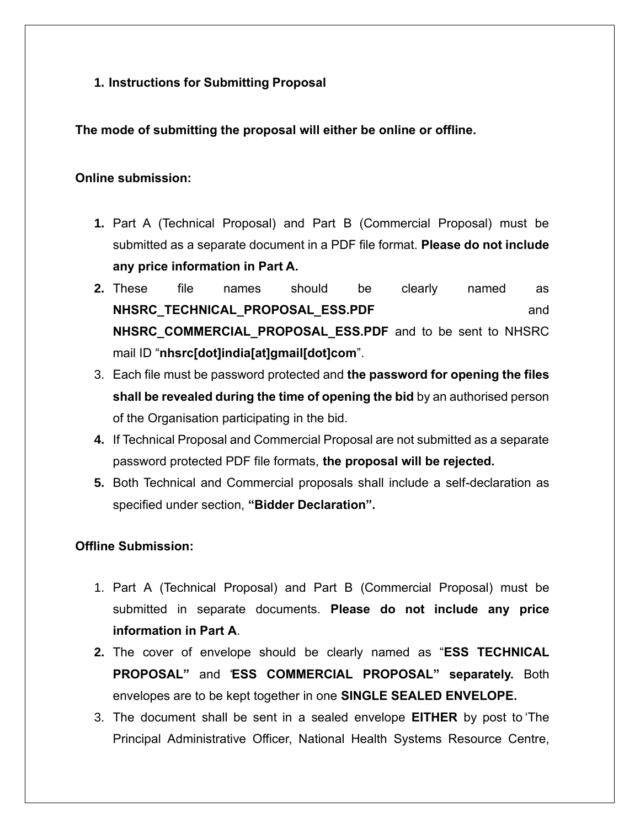**1. Instructions for Submitting Proposal**

**The mode of submitting the proposal will either be online or offline.** 

#### **Online submission:**

- **1.** Part A (Technical Proposal) and Part B (Commercial Proposal) must be submitted as a separate document in a PDF file format. **Please do not include any price information in Part A.**
- **2.** These file names should be clearly named as **NHSRC\_TECHNICAL\_PROPOSAL\_ESS.PDF** and **NHSRC\_COMMERCIAL\_PROPOSAL\_ESS.PDF** and to be sent to NHSRC mail ID "**nhsrc[dot]india[at]gmail[dot]com**".
- 3. Each file must be password protected and **the password for opening the files shall be revealed during the time of opening the bid** by an authorised person of the Organisation participating in the bid.
- **4.** If Technical Proposal and Commercial Proposal are not submitted as a separate password protected PDF file formats, **the proposal will be rejected.**
- **5.** Both Technical and Commercial proposals shall include a self-declaration as specified under section, **"Bidder Declaration".**

## **Offline Submission:**

- 1. Part A (Technical Proposal) and Part B (Commercial Proposal) must be submitted in separate documents. **Please do not include any price information in Part A**.
- **2.** The cover of envelope should be clearly named as "**ESS TECHNICAL PROPOSAL"** and "**ESS COMMERCIAL PROPOSAL" separately.** Both envelopes are to be kept together in one **SINGLE SEALED ENVELOPE.**
- 3. The document shall be sent in a sealed envelope **EITHER** by post to 'The Principal Administrative Officer, National Health Systems Resource Centre,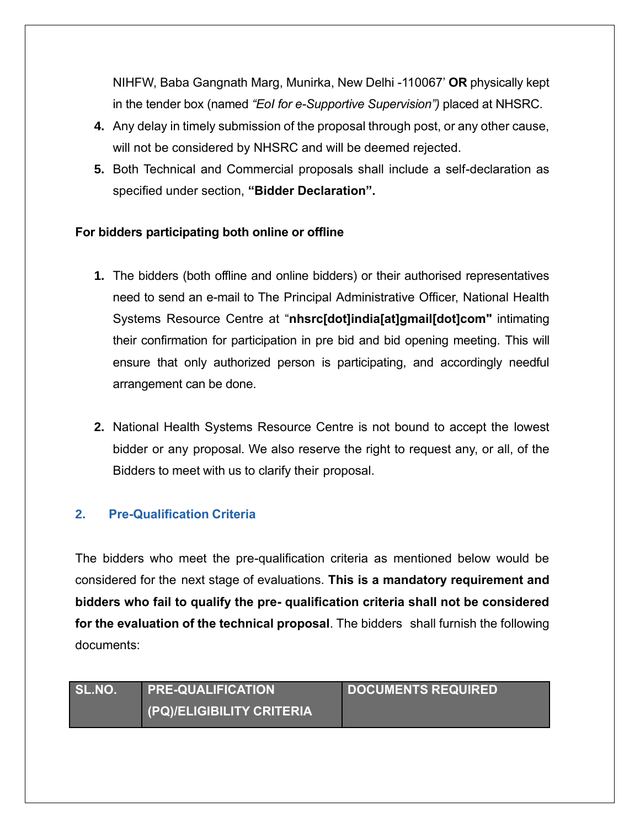NIHFW, Baba Gangnath Marg, Munirka, New Delhi -110067' **OR** physically kept in the tender box (named *"EoI for e-Supportive Supervision")* placed at NHSRC.

- **4.** Any delay in timely submission of the proposal through post, or any other cause, will not be considered by NHSRC and will be deemed rejected.
- **5.** Both Technical and Commercial proposals shall include a self-declaration as specified under section, **"Bidder Declaration".**

## **For bidders participating both online or offline**

- **1.** The bidders (both offline and online bidders) or their authorised representatives need to send an e-mail to The Principal Administrative Officer, National Health Systems Resource Centre at "**nhsrc[dot]india[at]gmail[dot]com"** intimating their confirmation for participation in pre bid and bid opening meeting. This will ensure that only authorized person is participating, and accordingly needful arrangement can be done.
- **2.** National Health Systems Resource Centre is not bound to accept the lowest bidder or any proposal. We also reserve the right to request any, or all, of the Bidders to meet with us to clarify their proposal.

## **2. Pre-Qualification Criteria**

The bidders who meet the pre-qualification criteria as mentioned below would be considered for the next stage of evaluations. **This is a mandatory requirement and bidders who fail to qualify the pre- qualification criteria shall not be considered for the evaluation of the technical proposal**. The bidders shall furnish the following documents:

| SL.NO. | <b>PRE-QUALIFICATION</b>  | <b>DOCUMENTS REQUIRED</b> |
|--------|---------------------------|---------------------------|
|        | (PQ)/ELIGIBILITY CRITERIA |                           |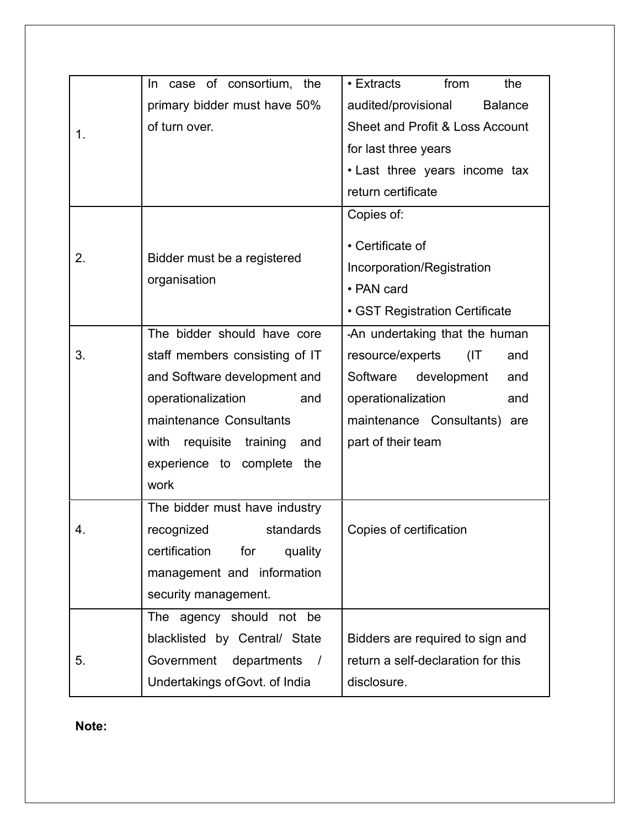|    | case of consortium, the<br>In.       | $\bullet$ Extracts<br>from<br>the     |  |
|----|--------------------------------------|---------------------------------------|--|
| 1. | primary bidder must have 50%         | audited/provisional<br><b>Balance</b> |  |
|    | of turn over.                        | Sheet and Profit & Loss Account       |  |
|    |                                      | for last three years                  |  |
|    |                                      | • Last three years income tax         |  |
|    |                                      | return certificate                    |  |
|    |                                      | Copies of:                            |  |
|    |                                      | • Certificate of                      |  |
| 2. | Bidder must be a registered          | Incorporation/Registration            |  |
|    | organisation                         | • PAN card                            |  |
|    |                                      | • GST Registration Certificate        |  |
|    | The bidder should have core          | -An undertaking that the human        |  |
| 3. | staff members consisting of IT       | resource/experts<br>(IT<br>and        |  |
|    | and Software development and         | Software development<br>and           |  |
|    | operationalization<br>and            | operationalization<br>and             |  |
|    | maintenance Consultants              | maintenance Consultants) are          |  |
|    | requisite training<br>with<br>and    | part of their team                    |  |
|    | experience to complete the           |                                       |  |
|    | work                                 |                                       |  |
|    | The bidder must have industry        |                                       |  |
| 4. | recognized<br>standards              | Copies of certification               |  |
|    | certification<br>for<br>quality      |                                       |  |
|    | management and information           |                                       |  |
|    | security management.                 |                                       |  |
|    | The agency should not be             |                                       |  |
|    | blacklisted by Central/ State        | Bidders are required to sign and      |  |
| 5. | Government departments<br>$\sqrt{ }$ | return a self-declaration for this    |  |
|    | Undertakings of Govt. of India       | disclosure.                           |  |

**Note:**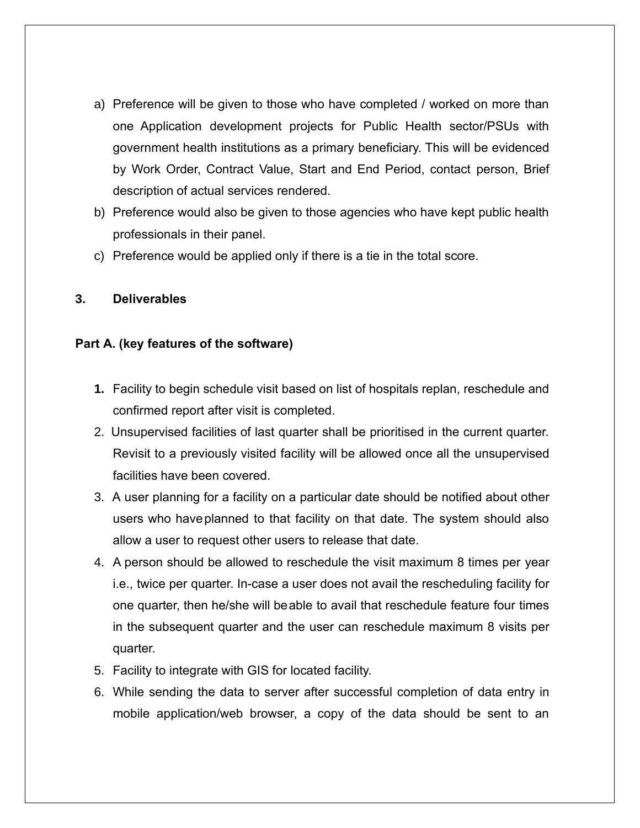- a) Preference will be given to those who have completed / worked on more than one Application development projects for Public Health sector/PSUs with government health institutions as a primary beneficiary. This will be evidenced by Work Order, Contract Value, Start and End Period, contact person, Brief description of actual services rendered.
- b) Preference would also be given to those agencies who have kept public health professionals in their panel.
- c) Preference would be applied only if there is a tie in the total score.

#### **3. Deliverables**

### **Part A. (key features of the software)**

- **1.** Facility to begin schedule visit based on list of hospitals replan, reschedule and confirmed report after visit is completed.
- 2. Unsupervised facilities of last quarter shall be prioritised in the current quarter. Revisit to a previously visited facility will be allowed once all the unsupervised facilities have been covered.
- 3. A user planning for a facility on a particular date should be notified about other users who haveplanned to that facility on that date. The system should also allow a user to request other users to release that date.
- 4. A person should be allowed to reschedule the visit maximum 8 times per year i.e., twice per quarter. In-case a user does not avail the rescheduling facility for one quarter, then he/she will beable to avail that reschedule feature four times in the subsequent quarter and the user can reschedule maximum 8 visits per quarter.
- 5. Facility to integrate with GIS for located facility.
- 6. While sending the data to server after successful completion of data entry in mobile application/web browser, a copy of the data should be sent to an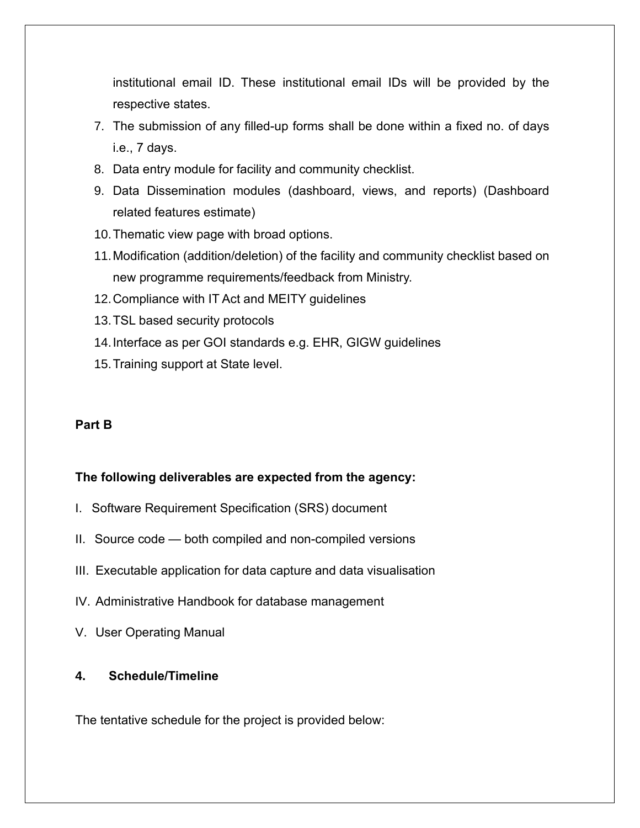institutional email ID. These institutional email IDs will be provided by the respective states.

- 7. The submission of any filled-up forms shall be done within a fixed no. of days i.e., 7 days.
- 8. Data entry module for facility and community checklist.
- 9. Data Dissemination modules (dashboard, views, and reports) (Dashboard related features estimate)
- 10.Thematic view page with broad options.
- 11.Modification (addition/deletion) of the facility and community checklist based on new programme requirements/feedback from Ministry.
- 12.Compliance with IT Act and MEITY guidelines
- 13.TSL based security protocols
- 14.Interface as per GOI standards e.g. EHR, GIGW guidelines
- 15.Training support at State level.

#### **Part B**

#### **The following deliverables are expected from the agency:**

- I. Software Requirement Specification (SRS) document
- II. Source code both compiled and non-compiled versions
- III. Executable application for data capture and data visualisation
- IV. Administrative Handbook for database management
- V. User Operating Manual

### **4. Schedule/Timeline**

The tentative schedule for the project is provided below: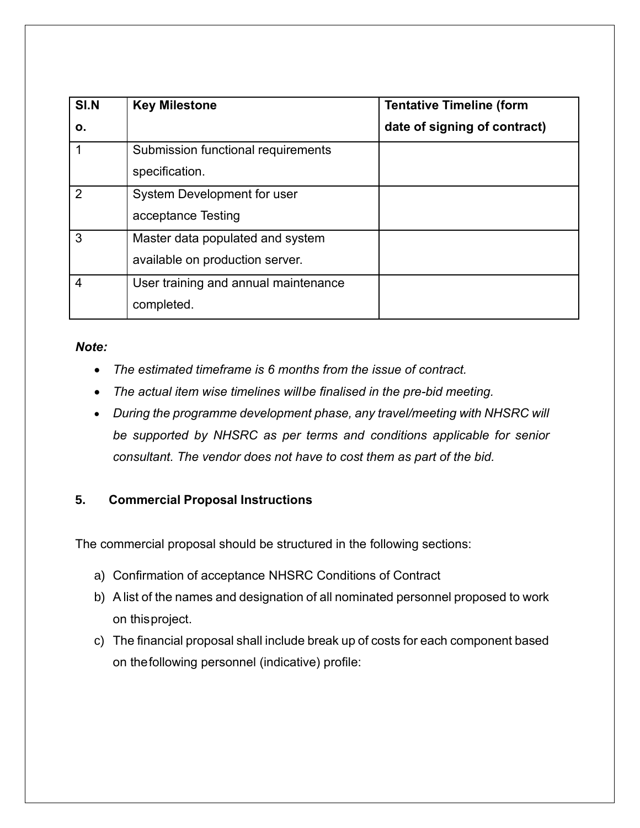| SI.N           | <b>Key Milestone</b>                                                | <b>Tentative Timeline (form</b> |
|----------------|---------------------------------------------------------------------|---------------------------------|
| О.             |                                                                     | date of signing of contract)    |
|                | Submission functional requirements<br>specification.                |                                 |
| $\overline{2}$ | System Development for user<br>acceptance Testing                   |                                 |
| 3              | Master data populated and system<br>available on production server. |                                 |
| $\overline{4}$ | User training and annual maintenance<br>completed.                  |                                 |

### *Note:*

- *The estimated timeframe is 6 months from the issue of contract.*
- *The actual item wise timelines willbe finalised in the pre-bid meeting.*
- *During the programme development phase, any travel/meeting with NHSRC will be supported by NHSRC as per terms and conditions applicable for senior consultant. The vendor does not have to cost them as part of the bid.*

# **5. Commercial Proposal Instructions**

The commercial proposal should be structured in the following sections:

- a) Confirmation of acceptance NHSRC Conditions of Contract
- b) A list of the names and designation of all nominated personnel proposed to work on thisproject.
- c) The financial proposal shall include break up of costs for each component based on thefollowing personnel (indicative) profile: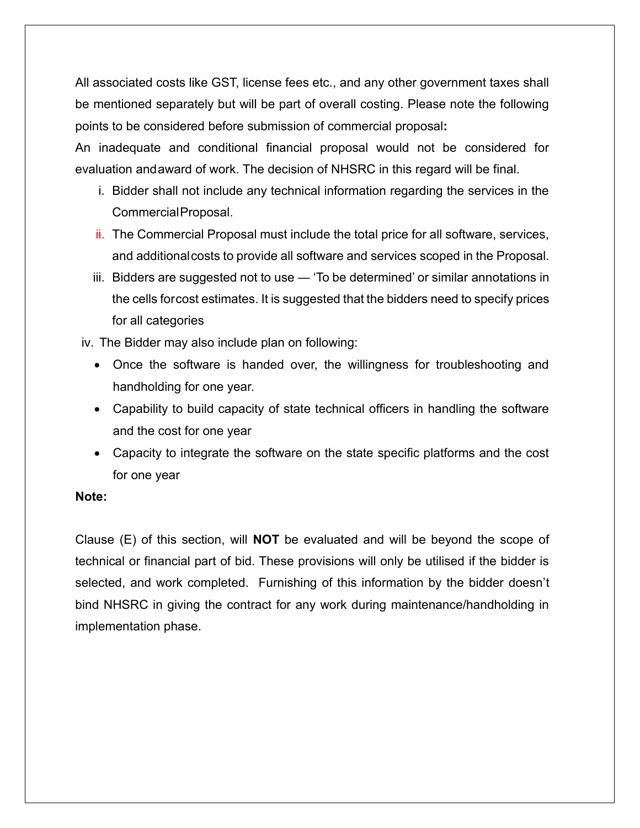All associated costs like GST, license fees etc., and any other government taxes shall be mentioned separately but will be part of overall costing. Please note the following points to be considered before submission of commercial proposal**:** 

An inadequate and conditional financial proposal would not be considered for evaluation andaward of work. The decision of NHSRC in this regard will be final.

- i. Bidder shall not include any technical information regarding the services in the CommercialProposal.
- ii. The Commercial Proposal must include the total price for all software, services, and additionalcosts to provide all software and services scoped in the Proposal.
- iii. Bidders are suggested not to use ― 'To be determined' or similar annotations in the cells forcost estimates. It is suggested that the bidders need to specify prices for all categories

iv. The Bidder may also include plan on following:

- Once the software is handed over, the willingness for troubleshooting and handholding for one year.
- Capability to build capacity of state technical officers in handling the software and the cost for one year
- Capacity to integrate the software on the state specific platforms and the cost for one year

#### **Note:**

Clause (E) of this section, will **NOT** be evaluated and will be beyond the scope of technical or financial part of bid. These provisions will only be utilised if the bidder is selected, and work completed. Furnishing of this information by the bidder doesn't bind NHSRC in giving the contract for any work during maintenance/handholding in implementation phase.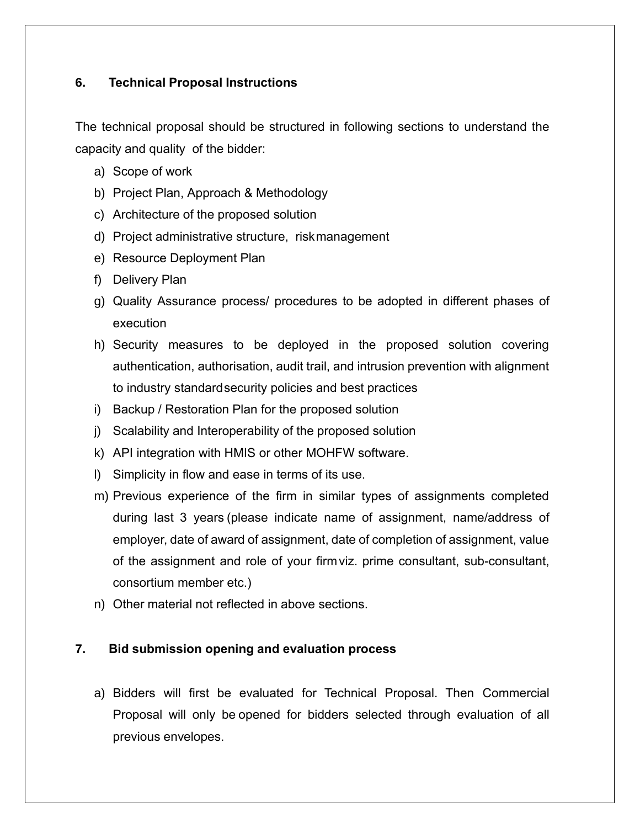## **6. Technical Proposal Instructions**

The technical proposal should be structured in following sections to understand the capacity and quality of the bidder:

- a) Scope of work
- b) Project Plan, Approach & Methodology
- c) Architecture of the proposed solution
- d) Project administrative structure, riskmanagement
- e) Resource Deployment Plan
- f) Delivery Plan
- g) Quality Assurance process/ procedures to be adopted in different phases of execution
- h) Security measures to be deployed in the proposed solution covering authentication, authorisation, audit trail, and intrusion prevention with alignment to industry standardsecurity policies and best practices
- i) Backup / Restoration Plan for the proposed solution
- j) Scalability and Interoperability of the proposed solution
- k) API integration with HMIS or other MOHFW software.
- l) Simplicity in flow and ease in terms of its use.
- m) Previous experience of the firm in similar types of assignments completed during last 3 years (please indicate name of assignment, name/address of employer, date of award of assignment, date of completion of assignment, value of the assignment and role of your firmviz. prime consultant, sub-consultant, consortium member etc.)
- n) Other material not reflected in above sections.

## **7. Bid submission opening and evaluation process**

a) Bidders will first be evaluated for Technical Proposal. Then Commercial Proposal will only be opened for bidders selected through evaluation of all previous envelopes.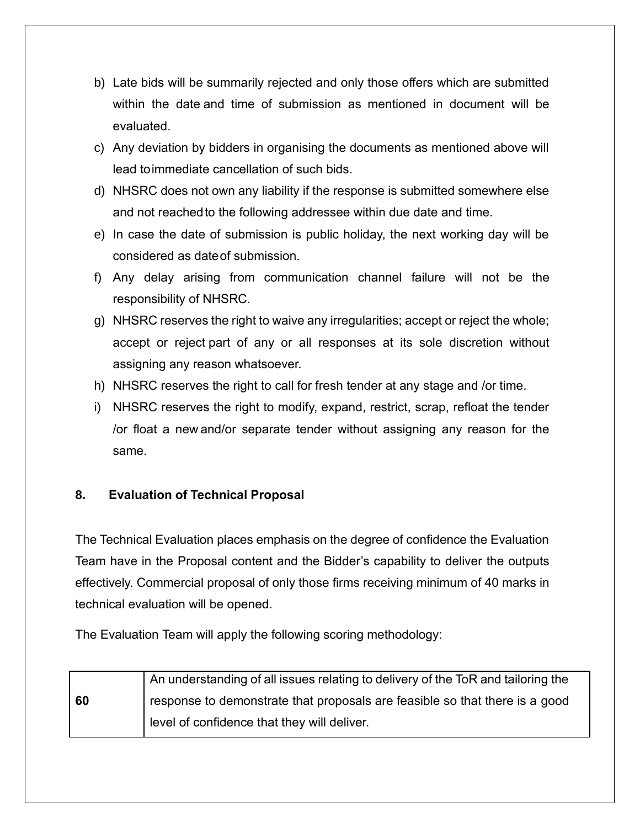- b) Late bids will be summarily rejected and only those offers which are submitted within the date and time of submission as mentioned in document will be evaluated.
- c) Any deviation by bidders in organising the documents as mentioned above will lead toimmediate cancellation of such bids.
- d) NHSRC does not own any liability if the response is submitted somewhere else and not reachedto the following addressee within due date and time.
- e) In case the date of submission is public holiday, the next working day will be considered as dateof submission.
- f) Any delay arising from communication channel failure will not be the responsibility of NHSRC.
- g) NHSRC reserves the right to waive any irregularities; accept or reject the whole; accept or reject part of any or all responses at its sole discretion without assigning any reason whatsoever.
- h) NHSRC reserves the right to call for fresh tender at any stage and /or time.
- i) NHSRC reserves the right to modify, expand, restrict, scrap, refloat the tender /or float a new and/or separate tender without assigning any reason for the same.

## **8. Evaluation of Technical Proposal**

The Technical Evaluation places emphasis on the degree of confidence the Evaluation Team have in the Proposal content and the Bidder's capability to deliver the outputs effectively. Commercial proposal of only those firms receiving minimum of 40 marks in technical evaluation will be opened.

The Evaluation Team will apply the following scoring methodology:

|    | An understanding of all issues relating to delivery of the ToR and tailoring the |
|----|----------------------------------------------------------------------------------|
| 60 | response to demonstrate that proposals are feasible so that there is a good      |
|    | level of confidence that they will deliver.                                      |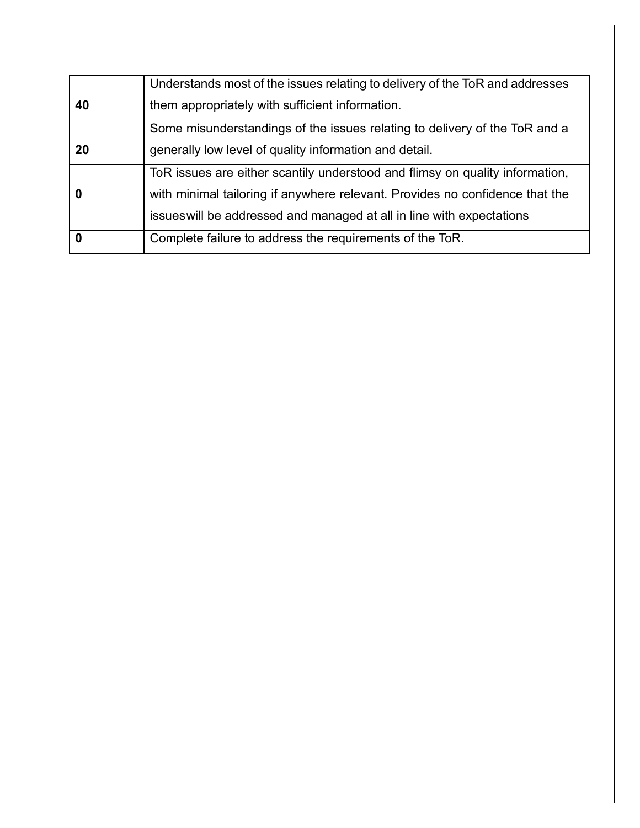|             | Understands most of the issues relating to delivery of the ToR and addresses |  |
|-------------|------------------------------------------------------------------------------|--|
| 40          | them appropriately with sufficient information.                              |  |
|             | Some misunderstandings of the issues relating to delivery of the ToR and a   |  |
| 20          | generally low level of quality information and detail.                       |  |
|             | ToR issues are either scantily understood and flimsy on quality information, |  |
| 0           | with minimal tailoring if anywhere relevant. Provides no confidence that the |  |
|             | issues will be addressed and managed at all in line with expectations        |  |
| $\mathbf 0$ | Complete failure to address the requirements of the ToR.                     |  |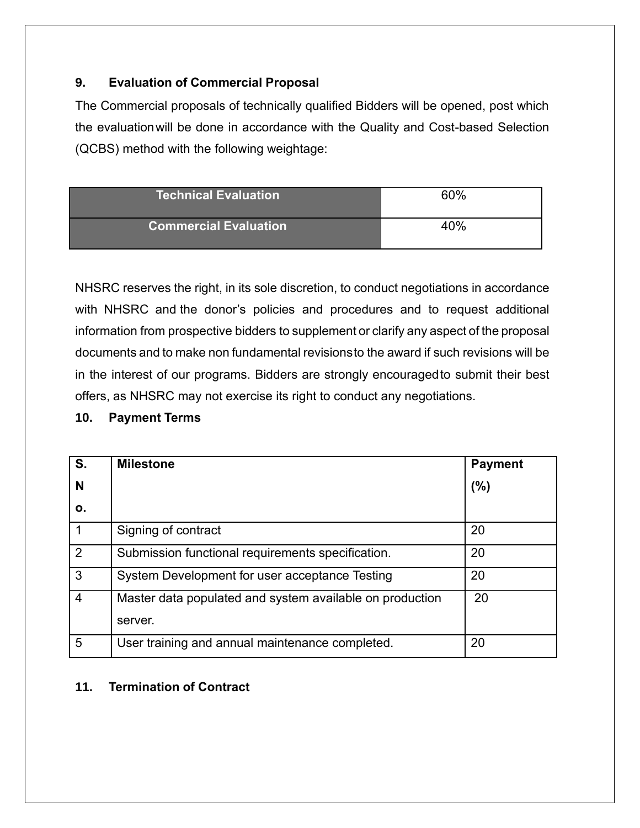## **9. Evaluation of Commercial Proposal**

The Commercial proposals of technically qualified Bidders will be opened, post which the evaluationwill be done in accordance with the Quality and Cost-based Selection (QCBS) method with the following weightage:

| <b>Technical Evaluation</b>  | 60% |
|------------------------------|-----|
| <b>Commercial Evaluation</b> | 40% |

NHSRC reserves the right, in its sole discretion, to conduct negotiations in accordance with NHSRC and the donor's policies and procedures and to request additional information from prospective bidders to supplement or clarify any aspect of the proposal documents and to make non fundamental revisionsto the award if such revisions will be in the interest of our programs. Bidders are strongly encouragedto submit their best offers, as NHSRC may not exercise its right to conduct any negotiations.

#### **10. Payment Terms**

| S.          | <b>Milestone</b>                                         | <b>Payment</b> |
|-------------|----------------------------------------------------------|----------------|
| N           |                                                          | (%)            |
| ο.          |                                                          |                |
| $\mathbf 1$ | Signing of contract                                      | 20             |
| 2           | Submission functional requirements specification.        | 20             |
| 3           | System Development for user acceptance Testing           | 20             |
| 4           | Master data populated and system available on production | 20             |
|             | server.                                                  |                |
| 5           | User training and annual maintenance completed.          | 20             |

## **11. Termination of Contract**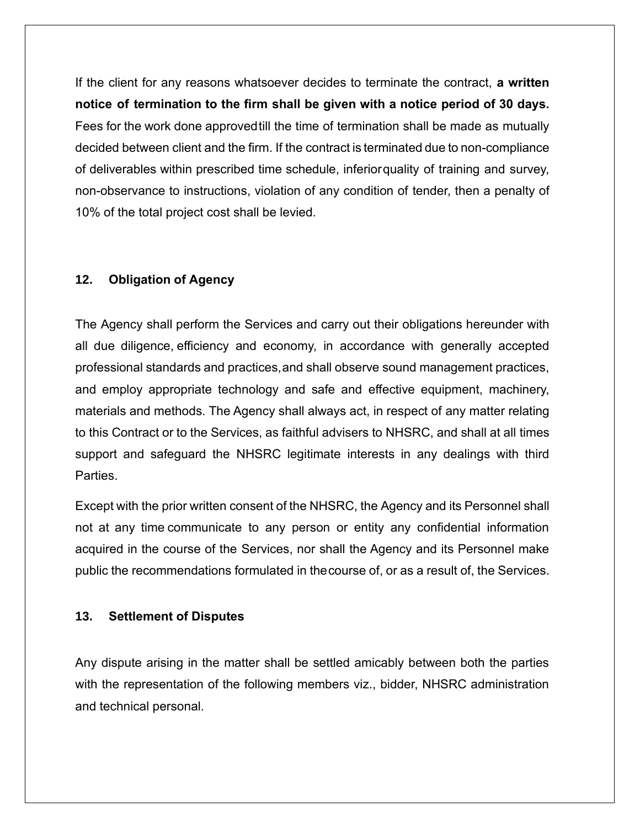If the client for any reasons whatsoever decides to terminate the contract, **a written notice of termination to the firm shall be given with a notice period of 30 days.** Fees for the work done approvedtill the time of termination shall be made as mutually decided between client and the firm. If the contract is terminated due to non-compliance of deliverables within prescribed time schedule, inferiorquality of training and survey, non-observance to instructions, violation of any condition of tender, then a penalty of 10% of the total project cost shall be levied.

### **12. Obligation of Agency**

The Agency shall perform the Services and carry out their obligations hereunder with all due diligence, efficiency and economy, in accordance with generally accepted professional standards and practices,and shall observe sound management practices, and employ appropriate technology and safe and effective equipment, machinery, materials and methods. The Agency shall always act, in respect of any matter relating to this Contract or to the Services, as faithful advisers to NHSRC, and shall at all times support and safeguard the NHSRC legitimate interests in any dealings with third **Parties** 

Except with the prior written consent of the NHSRC, the Agency and its Personnel shall not at any time communicate to any person or entity any confidential information acquired in the course of the Services, nor shall the Agency and its Personnel make public the recommendations formulated in thecourse of, or as a result of, the Services.

#### **13. Settlement of Disputes**

Any dispute arising in the matter shall be settled amicably between both the parties with the representation of the following members viz., bidder, NHSRC administration and technical personal.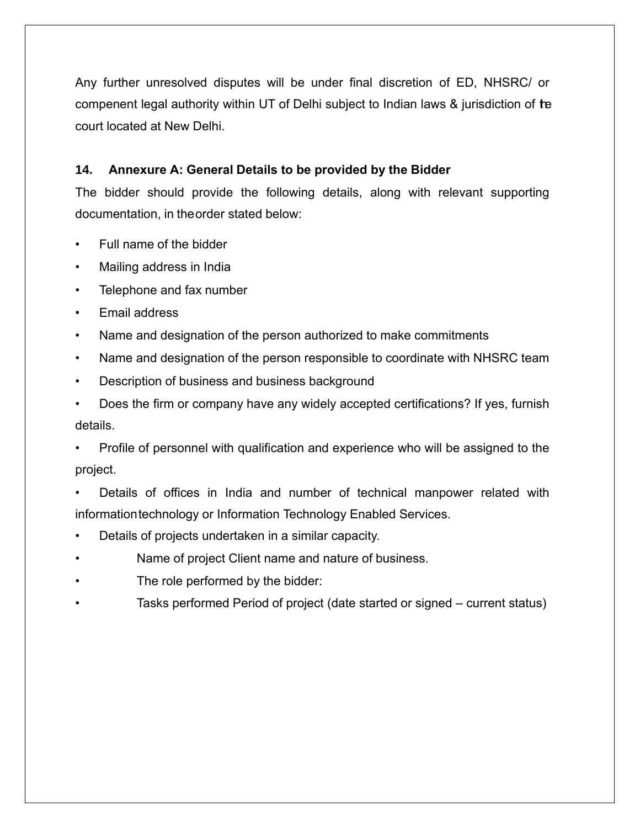Any further unresolved disputes will be under final discretion of ED, NHSRC/ or compenent legal authority within UT of Delhi subject to Indian laws & jurisdiction of the court located at New Delhi.

## **14. Annexure A: General Details to be provided by the Bidder**

The bidder should provide the following details, along with relevant supporting documentation, in theorder stated below:

- Full name of the bidder
- Mailing address in India
- Telephone and fax number
- Email address
- Name and designation of the person authorized to make commitments
- Name and designation of the person responsible to coordinate with NHSRC team
- Description of business and business background
- Does the firm or company have any widely accepted certifications? If yes, furnish details.
- Profile of personnel with qualification and experience who will be assigned to the project.
- Details of offices in India and number of technical manpower related with informationtechnology or Information Technology Enabled Services.
- Details of projects undertaken in a similar capacity.
- Name of project Client name and nature of business.
- The role performed by the bidder:
- Tasks performed Period of project (date started or signed current status)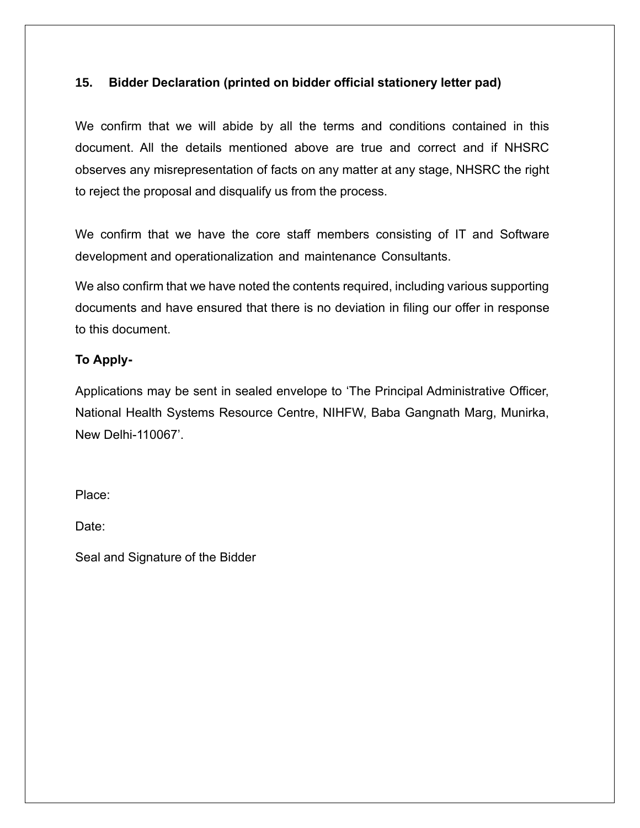## **15. Bidder Declaration (printed on bidder official stationery letter pad)**

We confirm that we will abide by all the terms and conditions contained in this document. All the details mentioned above are true and correct and if NHSRC observes any misrepresentation of facts on any matter at any stage, NHSRC the right to reject the proposal and disqualify us from the process.

We confirm that we have the core staff members consisting of IT and Software development and operationalization and maintenance Consultants.

We also confirm that we have noted the contents required, including various supporting documents and have ensured that there is no deviation in filing our offer in response to this document.

#### **To Apply-**

Applications may be sent in sealed envelope to 'The Principal Administrative Officer, National Health Systems Resource Centre, NIHFW, Baba Gangnath Marg, Munirka, New Delhi-110067'.

Place:

Date:

Seal and Signature of the Bidder